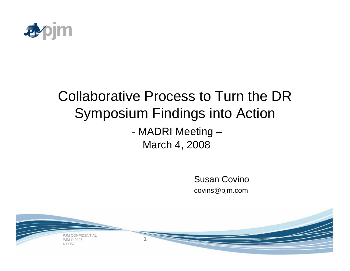

# Collaborative Process to Turn the DR Symposium Findings into Action

- MADRI Meeting – March 4, 2008

1

Susan Covinocovins@pjm.com

PJM CONFIDENTIAL PJM © 2007409067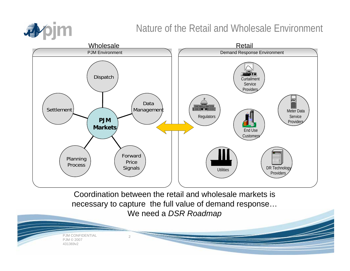

#### Nature of the Retail and Wholesale Environment

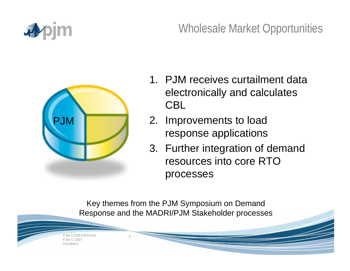

## Wholesale Market Opportunities



- 1. PJM receives curtailment data electronically and calculates CBL
- 2. Improvements to load response applications
- 3. Further integration of demand resources into core RTO processes

Key themes from the PJM Symposium on Demand Response and the MADRI/PJM Stakeholder processes

 PJM CONFIDENTIAL PJM © 2007431369v2

3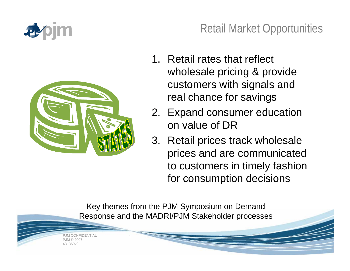



## Retail Market Opportunities

- 1. Retail rates that reflect wholesale pricing & provide customers with signals and real chance for savings
- 2. Expand consumer education on value of DR
- 3. Retail prices track wholesale prices and are communicated to customers in timely fashion for consumption decisions

Key themes from the PJM Symposium on Demand Response and the MADRI/PJM Stakeholder processes

 PJM CONFIDENTIAL PJM © 2007431369v2

4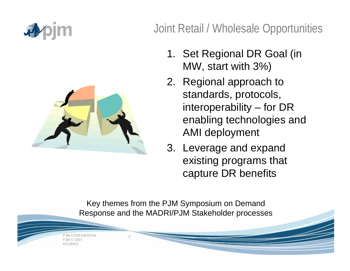



## Joint Retail / Wholesale Opportunities

- 1. Set Regional DR Goal (in MW, start with 3%)
- 2. Regional approach to standards, protocols, interoperability – for DR enabling technologies and AMI deployment
- 3. Leverage and expand existing programs that capture DR benefits

Key themes from the PJM Symposium on Demand Response and the MADRI/PJM Stakeholder processes

 PJM CONFIDENTIAL PJM © 2007431369v2

5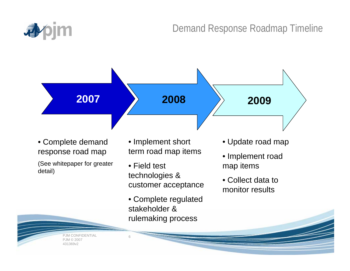

#### Demand Response Roadmap Timeline



• Complete demand response road map

(See whitepaper for greater detail)

- Implement short term road map items
- Field test technologies & customer acceptance
- Complete regulated stakeholder & rulemaking process

6

- Update road map
- Implement road map items
- Collect data to monitor results

 PJM CONFIDENTIAL PJM © 2007431369v2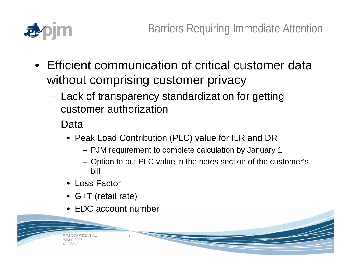

- Efficient communication of critical customer data without comprising customer privacy
	- Lack of transparency standardization for getting customer authorization
	- Data
		- Peak Load Contribution (PLC) value for ILR and DR
			- PJM requirement to complete calculation by January 1
			- Option to put PLC value in the notes section of the customer's bill
		- Loss Factor
		- G+T (retail rate)
		- EDC account number

7

 PJM CONFIDENTIAL PJM © 2007431369v2